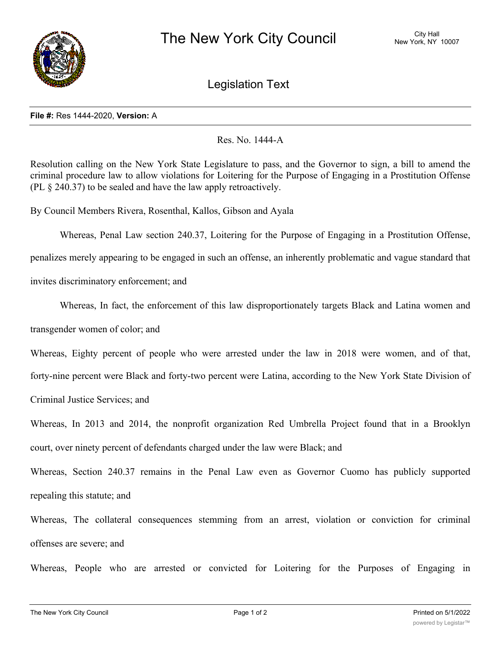

Legislation Text

## **File #:** Res 1444-2020, **Version:** A

## Res. No. 1444-A

Resolution calling on the New York State Legislature to pass, and the Governor to sign, a bill to amend the criminal procedure law to allow violations for Loitering for the Purpose of Engaging in a Prostitution Offense (PL § 240.37) to be sealed and have the law apply retroactively.

By Council Members Rivera, Rosenthal, Kallos, Gibson and Ayala

Whereas, Penal Law section 240.37, Loitering for the Purpose of Engaging in a Prostitution Offense, penalizes merely appearing to be engaged in such an offense, an inherently problematic and vague standard that invites discriminatory enforcement; and

Whereas, In fact, the enforcement of this law disproportionately targets Black and Latina women and transgender women of color; and

Whereas, Eighty percent of people who were arrested under the law in 2018 were women, and of that,

forty-nine percent were Black and forty-two percent were Latina, according to the New York State Division of

Criminal Justice Services; and

Whereas, In 2013 and 2014, the nonprofit organization Red Umbrella Project found that in a Brooklyn court, over ninety percent of defendants charged under the law were Black; and

Whereas, Section 240.37 remains in the Penal Law even as Governor Cuomo has publicly supported repealing this statute; and

Whereas, The collateral consequences stemming from an arrest, violation or conviction for criminal offenses are severe; and

Whereas, People who are arrested or convicted for Loitering for the Purposes of Engaging in